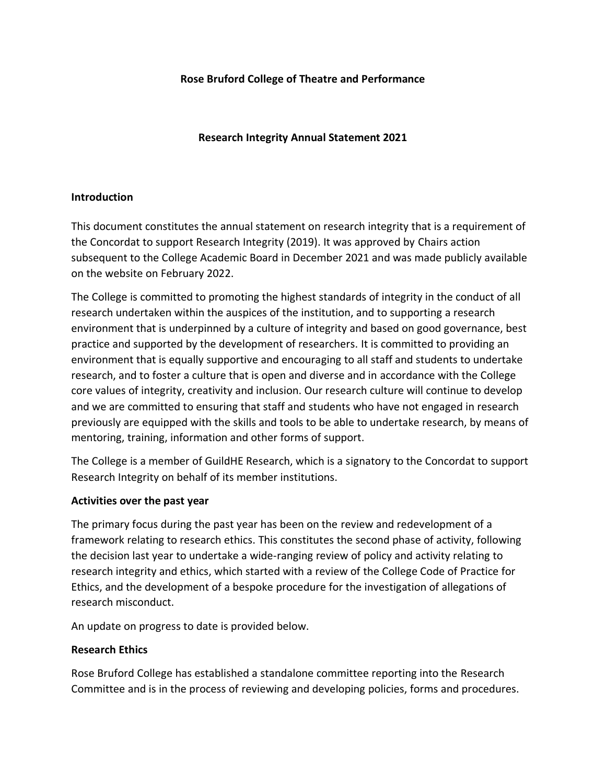## **Rose Bruford College of Theatre and Performance**

## **Research Integrity Annual Statement 2021**

### **Introduction**

This document constitutes the annual statement on research integrity that is a requirement of the Concordat to support Research Integrity (2019). It was approved by Chairs action subsequent to the College Academic Board in December 2021 and was made publicly available on the website on February 2022.

The College is committed to promoting the highest standards of integrity in the conduct of all research undertaken within the auspices of the institution, and to supporting a research environment that is underpinned by a culture of integrity and based on good governance, best practice and supported by the development of researchers. It is committed to providing an environment that is equally supportive and encouraging to all staff and students to undertake research, and to foster a culture that is open and diverse and in accordance with the College core values of integrity, creativity and inclusion. Our research culture will continue to develop and we are committed to ensuring that staff and students who have not engaged in research previously are equipped with the skills and tools to be able to undertake research, by means of mentoring, training, information and other forms of support.

The College is a member of GuildHE Research, which is a signatory to the Concordat to support Research Integrity on behalf of its member institutions.

#### **Activities over the past year**

The primary focus during the past year has been on the review and redevelopment of a framework relating to research ethics. This constitutes the second phase of activity, following the decision last year to undertake a wide-ranging review of policy and activity relating to research integrity and ethics, which started with a review of the College Code of Practice for Ethics, and the development of a bespoke procedure for the investigation of allegations of research misconduct.

An update on progress to date is provided below.

#### **Research Ethics**

Rose Bruford College has established a standalone committee reporting into the Research Committee and is in the process of reviewing and developing policies, forms and procedures.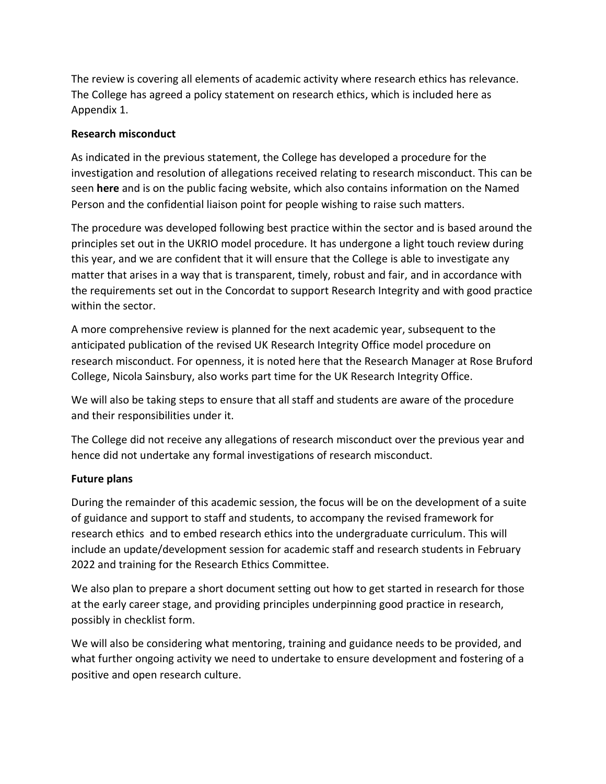The review is covering all elements of academic activity where research ethics has relevance. The College has agreed a policy statement on research ethics, which is included here as Appendix 1.

# **Research misconduct**

As indicated in the previous statement, the College has developed a procedure for the investigation and resolution of allegations received relating to research misconduct. This can be seen **here** and is on the public facing website, which also contains information on the Named Person and the confidential liaison point for people wishing to raise such matters.

The procedure was developed following best practice within the sector and is based around the principles set out in the UKRIO model procedure. It has undergone a light touch review during this year, and we are confident that it will ensure that the College is able to investigate any matter that arises in a way that is transparent, timely, robust and fair, and in accordance with the requirements set out in the Concordat to support Research Integrity and with good practice within the sector.

A more comprehensive review is planned for the next academic year, subsequent to the anticipated publication of the revised UK Research Integrity Office model procedure on research misconduct. For openness, it is noted here that the Research Manager at Rose Bruford College, Nicola Sainsbury, also works part time for the UK Research Integrity Office.

We will also be taking steps to ensure that all staff and students are aware of the procedure and their responsibilities under it.

The College did not receive any allegations of research misconduct over the previous year and hence did not undertake any formal investigations of research misconduct.

# **Future plans**

During the remainder of this academic session, the focus will be on the development of a suite of guidance and support to staff and students, to accompany the revised framework for research ethics and to embed research ethics into the undergraduate curriculum. This will include an update/development session for academic staff and research students in February 2022 and training for the Research Ethics Committee.

We also plan to prepare a short document setting out how to get started in research for those at the early career stage, and providing principles underpinning good practice in research, possibly in checklist form.

We will also be considering what mentoring, training and guidance needs to be provided, and what further ongoing activity we need to undertake to ensure development and fostering of a positive and open research culture.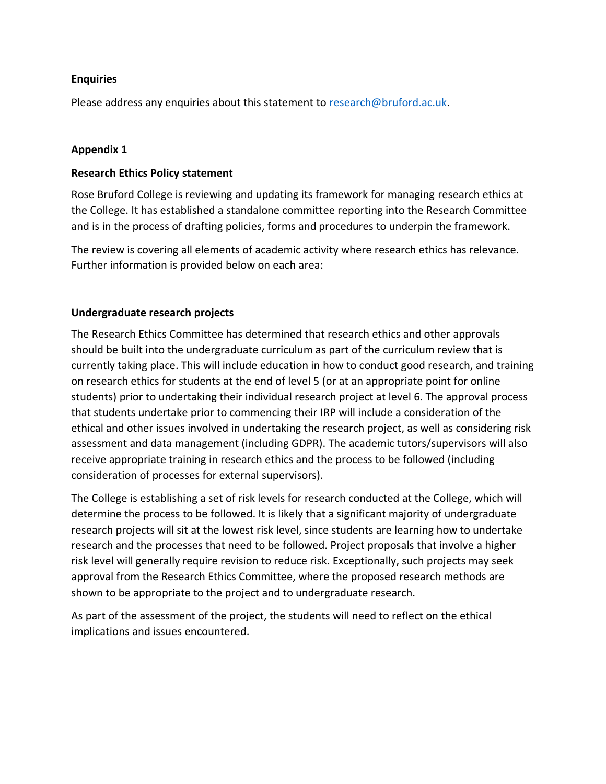### **Enquiries**

Please address any enquiries about this statement to [research@bruford.ac.uk.](mailto:research@bruford.ac.uk)

### **Appendix 1**

#### **Research Ethics Policy statement**

Rose Bruford College is reviewing and updating its framework for managing research ethics at the College. It has established a standalone committee reporting into the Research Committee and is in the process of drafting policies, forms and procedures to underpin the framework.

The review is covering all elements of academic activity where research ethics has relevance. Further information is provided below on each area:

### **Undergraduate research projects**

The Research Ethics Committee has determined that research ethics and other approvals should be built into the undergraduate curriculum as part of the curriculum review that is currently taking place. This will include education in how to conduct good research, and training on research ethics for students at the end of level 5 (or at an appropriate point for online students) prior to undertaking their individual research project at level 6. The approval process that students undertake prior to commencing their IRP will include a consideration of the ethical and other issues involved in undertaking the research project, as well as considering risk assessment and data management (including GDPR). The academic tutors/supervisors will also receive appropriate training in research ethics and the process to be followed (including consideration of processes for external supervisors).

The College is establishing a set of risk levels for research conducted at the College, which will determine the process to be followed. It is likely that a significant majority of undergraduate research projects will sit at the lowest risk level, since students are learning how to undertake research and the processes that need to be followed. Project proposals that involve a higher risk level will generally require revision to reduce risk. Exceptionally, such projects may seek approval from the Research Ethics Committee, where the proposed research methods are shown to be appropriate to the project and to undergraduate research.

As part of the assessment of the project, the students will need to reflect on the ethical implications and issues encountered.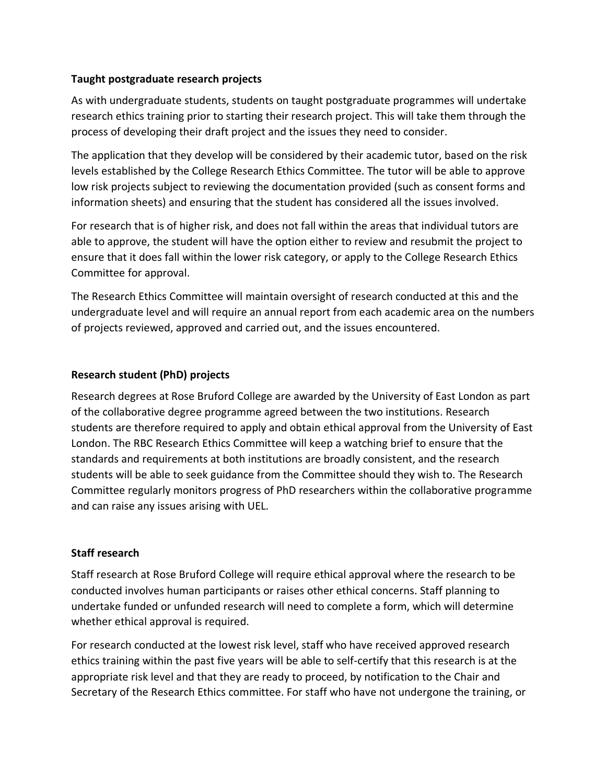### **Taught postgraduate research projects**

As with undergraduate students, students on taught postgraduate programmes will undertake research ethics training prior to starting their research project. This will take them through the process of developing their draft project and the issues they need to consider.

The application that they develop will be considered by their academic tutor, based on the risk levels established by the College Research Ethics Committee. The tutor will be able to approve low risk projects subject to reviewing the documentation provided (such as consent forms and information sheets) and ensuring that the student has considered all the issues involved.

For research that is of higher risk, and does not fall within the areas that individual tutors are able to approve, the student will have the option either to review and resubmit the project to ensure that it does fall within the lower risk category, or apply to the College Research Ethics Committee for approval.

The Research Ethics Committee will maintain oversight of research conducted at this and the undergraduate level and will require an annual report from each academic area on the numbers of projects reviewed, approved and carried out, and the issues encountered.

# **Research student (PhD) projects**

Research degrees at Rose Bruford College are awarded by the University of East London as part of the collaborative degree programme agreed between the two institutions. Research students are therefore required to apply and obtain ethical approval from the University of East London. The RBC Research Ethics Committee will keep a watching brief to ensure that the standards and requirements at both institutions are broadly consistent, and the research students will be able to seek guidance from the Committee should they wish to. The Research Committee regularly monitors progress of PhD researchers within the collaborative programme and can raise any issues arising with UEL.

# **Staff research**

Staff research at Rose Bruford College will require ethical approval where the research to be conducted involves human participants or raises other ethical concerns. Staff planning to undertake funded or unfunded research will need to complete a form, which will determine whether ethical approval is required.

For research conducted at the lowest risk level, staff who have received approved research ethics training within the past five years will be able to self-certify that this research is at the appropriate risk level and that they are ready to proceed, by notification to the Chair and Secretary of the Research Ethics committee. For staff who have not undergone the training, or